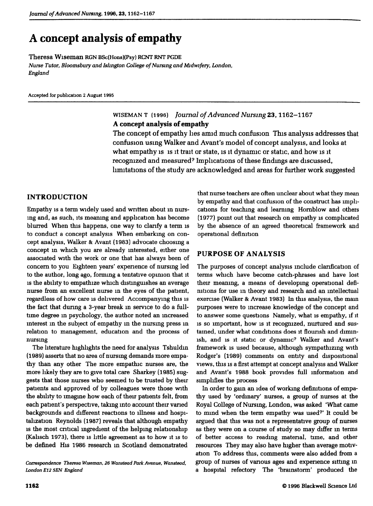# **A concept analysis of empathy**

Theresa Wiseman RGN BSc(Hons)(Psy) RCNT RNT PGDE *Nurse Tutor, Bloomsbury and Islington College of Nursing and Midwifery, London, England*

Accepted for pubhcation 2 August 1995

# WISEMAN T (1996) *Journal of Advanced Nursing* 23,1162-1167 **A concept analysis of empathy**

The concept of empathy lies amid much confusion This analysis addresses that confusion using Walker and Avant's model of concept analysis, and looks at what empathy is is it trait or state, is it dynamic or static, and how is it recognized and measured' Implications of these findings are discussed, limitations of the study are acknowledged and areas for further work suggested

### **INTRODUCTION**

Empathy is a term widely used and written about in nursmg and, as such, its meaning and apphcation has become blurred When this happens, one way to clanfy a term is to conduct a concept analysis When embarking on concept analysis. Walker & Avant (1983) advocate choosing a concept in which you are akeady interested, either one associated with the work or one that has always been of concern to you Eighteen years' expenence of nursmg led to the author, long ago, forming a tentative opinion that it is the ability to empathize which distinguishes an average nurse from an excellent nurse in the eyes of the patient, regardless of how care is delivered Accompanying this is the fact that during a 3-year break in service to do a fulltime degree in psychology, the author noted an increased interest m the subject of empathy m the nursing press m relation to management, education and the process of nursing

The hterature highlights the need for analysis Tshuldm (1989) asserts that no area of nursmg demands more empathy than any other The more empathic nurses are, the more likely they are to give total care Sharkey (1985) suggests that those nurses who seemed to be trusted by their patients and approved of by colleagues were those with the ability to imagine how each of their patients felt, from each patient's perspective, takmg mto account their vaned backgrounds and different reactions to illness and hospitalization Reynolds (1987) reveals that although empathy is the most critical ingredient of the helping relationship (Kalisch 1973), there is little agreement as to how it is to be defined His 1986 research m Scotland demonstrated

*Correspondence Theresa Wiseman, 26 Wanstead Park Avenue, Wanstead, London E12 5EN England*

that nurse teachers are often unclear about what they mean by empathy and that confusion of the construct has implications for teaching and learning Homblow and others (1977) point out that research on empathy is comphcated by the absence of an agreed theoretical framework and operational definition

## **PURPOSE OF ANALYSIS**

The purposes of concept analysis mclude clarification of terms which have become catch-phrases and have lost their meaning, a means of developing operational definitions for use in theory and research and an intellectual exercise (Walker & Avant 1983) In this analysis, the mam purposes were to mcrease knowledge of the concept and to answer some questions Namely, what is empathy, if it IS so important, how is it recognized, nurtured and sustained, under what conditions does it fiounsh and dimmish, and is it static or dynamic? Walker and Avant's framework is used because, edthough sympathizing with Rodger's (1989) comments on entity and dispositional views, this IS a first attempt at concept analysis and Walker and Avant's 1988 book provides full information and simplifies the process

In order to gain an idea of working definitions of empathy used by 'ordinary' nurses, a group of nurses at the Royal College of Nursmg, London, was asked 'What came to mmd when the term empathy was used'' It could be argued that this was not a representative group of nurses as they were on a course of study so may differ m terms of better access to reading matenal, time, and other resources They may also have higher than average motivation To address this, comments were also added *bom* a group of nurses of vanous ages and experience sittmg in a hospital refectory The 'brainstorm' produced the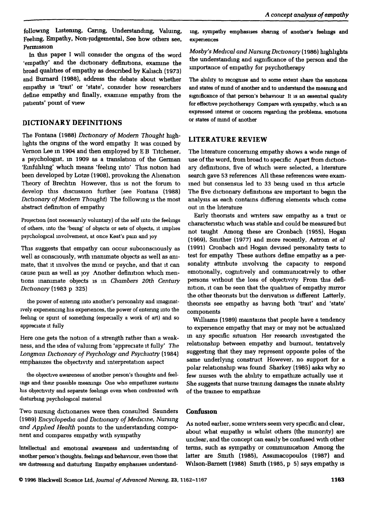following Listening, Caring, Understanding, Valuing, Feeling, Empathy, Non-judgemental, See how others see. Permission

In this paper I will consider the ongins of the word 'empathy' and the dictionary defimtions, examme the broad quahties of empathy as descnbed by Kalisch (1973) and Bumard (1988), address the debate about whether empathy is 'trait' or 'state', consider how researchers define empathy and finally, examine empathy from the patients' point of view

# **DICTIONARY DEFINITIONS**

The Fontana (1988) *Dictionary of Modem Thought* highlights the ongms of the word empathy It was comed by Vemon Lee m 1904 and then employed by E B Titchener, a psychologist, in 1909 as a translation of the German 'Einfuhling' which means 'feeling into' This notion had been developed by Lotze (1908), provoking the Alienation Theory of Brechtm However, this is not the forum to develop this discussion further (see Fontana (1988) *Dictionary of Modem Thought)* The following is the most abstract definition of empathy

Projection (not necessarily voluntary) of the self mto the feehngs of others, into the 'being' of objects or sets of objects, it implies psychological involvement, at once Keat's pain and joy

This suggests that empathy can occur subconsciously as well as consciously, with mammate objects as well as animate, that It mvolves the mind or psyche, and that it can cause pam as well as joy Another definition which mentions inanimate objects is m *Chambers 20th Century Dictionary* (1983 p 325)

the power of entenng into another's personality and lmagmatlvely experiencing his expenences, the power of entenng mto the feelmg or spirit of somethmg (especially a work of art) and so appreciate it fully

Here one gets the notion of a strength rather than a weakness, and the idea of valuing from 'appreciate it fully' *The Longman Dictionary of Psychology and Psychiatry* (1984) emphasizes the objectivity and interpretation aspect

the objective awareness of another person's thoughts and feelmgs and their possible meanings One who empathizes sustains his objectivity and separate feehngs even when confronted with disturbing psychological material

Two nursing dictionaries were then consulted Saunders (1989) *Encyclopedia and Dictionary of Medicine, Nursing and Apphed Health* pomts to the understanding component and compares empathy with sympathy

Intellectual and emotional awareness and imderstandmg of another person's thoughts, feelmgs and behaviour, even those that are distressing and disturbing Empathy emphasises understanding, sympathy emphasises sharing of another's feelings and expenences

*Mosby's Medical and Nursmg Dictionary* (1986) highlights the understandmg and significance of the person and the importance of empathy for psychotherapy

The ability to recognise and to some extent share the emotions and states of mmd of another and to understand the meaning and significance of that person's behaviour It is an essential quality for effective psychotherapy Compare with sympathy, which is an expressed mterest or concem regarding the problems, emotions or states of mmd of another

# **LITERATURE REVIEW**

The literature concerning empathy shows a wide range of use of the word, from broad to specific Apart from dictionary defimtions, five of which were selected, a literature search gave 53 references All these references were examined but consensus led to 33 bemg used in this article The five dictionary definitions are important to begin the analysis as each contains differing elements which come out in the hterature

Early theonsts and wnters saw empathy as a trait or charactenstic which was stable and could he measured but not taught Among these are Cronhach (1955), Hogan (1969), Smither (1977) and more recently, Astrom et *al* (1991) Cronbach and Hogan devised personahty tests to test for empathy These authors define empathy as a personality attnbute mvolvmg the capacity to respond emotionally, cognitively and communicatively to other persons without the loss of objectivity From this definition, it can be seen that the quahties of empathy mirror the other theonsts but the denvation is different Latterly, theonsts see empathy as havmg both 'trait' and 'state' components

Williams (1989) maintains that people have a tendency to expenence empathy that may or may not be actualized in any specific situation Her research investigated the relationship between empathy and burnout, tentatively suggesting that they may represent opposite poles of the same underlying construct However, no support for a polar relationship was foimd Sharkey (1985) asks why so few nurses with the abihty to empathize actually use it She suggests that nurse traimng damages the innate ability of the tramee to empathize

## **Confusion**

As noted earlier, some wnters seem very specific and clear, about what empathy is whilst others (the minonty) are unclear, and the concept can easily be confused with other terms, such as sympathy or communication Among the latter are Smith (1985), Assimacopoulos (1987) and Wilson-Bamett (1988) Smith (1985, p 5) says empathy is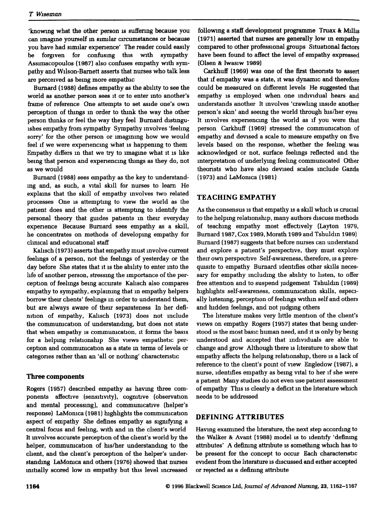'knowing what the other person is suffenng because you can imagine yourself in similar circumstances or because you have had similar expenence' The reader could easily be forgiven for confusing this with sympathy Assimacopoulos (1987) also confuses empathy with sympathy and Wilson-Bamett asserts that nurses who talk less are perceived as bemg more empathic

Bumard (1988) defines empathy as the ability to see the world as another person sees it or to enter mto another's frame of reference One attempts to set aside one's own perception of thmgs in order to think the way the other person thinks or feel the way they feel Bumard distinguishes empathy from sympathy Sympathy involves 'feeling sorry' for the other person or imagining how we would feel if we were expenencmg what is happening to them Empathy differs m that we try to imagine what it is like being that person and experiencing things as they do, not as we would

Bumard (1988) sees empathy as the key to understanding and, as such, a vital skill for nurses to leam He explains that the skill of empathy involves two related processes One is attempting to view the world as the patient does and the other is attemptmg to identify the personal theory that guides patients m their everyday expenence Because Bumard sees empathy as a skill, he concentrates on methods of developing empathy for climcal and educational staff

Kalisch (1973) asserts that empathy must involve current feelings of a person, not the feelmgs of yesterday or the day before She states that it is the ability to enter mto the life of another person, stressing the importance of the perception of feelmgs bemg accurate Kalisch also compares empathy to sympathy, explaining that m empathy helpers borrow their clients' feelmgs m order to understand them, but are always aware of their separateness In her definition of empathy, Kalisch (1973) does not include the communication of understanding, but does not state that when empathy is communication, it forms the basis for a helping relationship She views empathetic perception and communication as a state m terms of levels or categones rather than an 'all or nothmg' charactenstic

#### **Three components**

Rogers (1957) descnbed empathy as having three components affective (sensitivity), cognitive (observation and mental processing), and communicative (helper's response) LaMonica (1981) highlights the commumcation aspect of empathy She defines empathy as sigmfymg a central focus and feehng, with and m the chent's world It mvolves accurate perception of the chent's world by the helper, commumcation of his/her understandmg to the chent, and the chent's perception of the helper's understanding LaMonica and others (1976) showed that nurses initially scored low m empathy hut this level mcreased

following a staff development programme Truax & Millis (1971) asserted that nurses are generally low m empathy compared to other professional groups Situational factors have been found to affect the level of empathy expressed (Olsen & Iwasiw 1989)

Carkhuff (1969) was one of the first theonsts to assert that if empathy was a state, it was dynamic and therefore could be measured on different levels He suggested that empathy is employed when one mdividual hears and understands another It mvolves 'crawhng inside another person's skin' and seeing the world through his/her eyes It mvolves expenencmg the world as if you were that person Carkhuff (1969) stressed the commimication of empathy and devised a scale to measure empathy on five levels based on the response, whether the feehng was acknowledged or not, surface feehngs refiected and the interpretation of underlying feeling communicated Other theonsts who have also devised scales include Gazda (1973) and LaMomca (1981)

### **TEACHING EMPATHY**

As the consensus is that empathy is a skill which is crucial to the helping relationship, many authors discuss methods of teaching empathy most effectively (Layton 1979, Bumard 1987, Cox 1989, Morath 1989 and Tshuldm 1989) Bumard (1987) suggests that before nurses can understand and explore a patient's perspective, they must explore their own perspective Self-awareness, therefore, is a prerequisite to empathy Bumard identifies other skills necessary for empathy including the ability to listen, to offer free attention and to suspend judgement Tshuldm (1989) highhghts self-awareness, communication skills, especially listening, perception of feelings withm self and others and hidden feelmgs, emd not judgmg others

The literature makes very little mention of the client's views on empathy Rogers (1957) states that bemg understood is the most basic human need, and it is only by being understood and accepted that individuals are able to change and grow Although there is literature to show that empathy affects the helping relationship, there is a lack of reference to the client's pomt of view Engledow (1987), a nurse, identifies empathy as being vital to her if she were a patient Many studies do not even use patient assessment of empathy This is clearly a deficit in the literature which needs to be addressed

### **DEFINING ATTRIBUTES**

Having examined the literature, the next step according to the Walker & Avant (1988) model is to identify 'defining attnbutes' A defining attnbute is something which has to be present for the concept to occur Each charactenstic evident from the hterature is discussed and either accepted or rejected as a defining attribute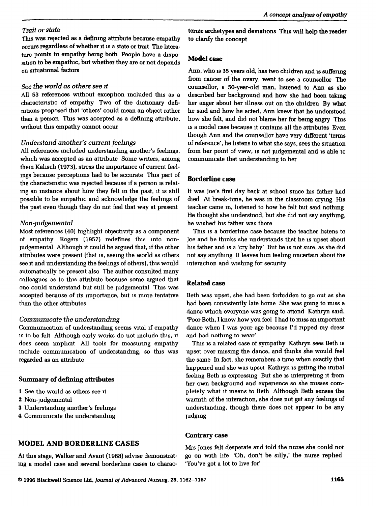#### *Trait or state*

This was rejected as a defining attribute because empathy occurs regardless of whether it is a state or trait The hterature points to empathy being both People have a disposition to be empathic, but whether they are or not depends on situational factors

#### See *the world as others see it*

All 53 references without exception included this as a charactenstic of empathy Two of the dictionary defimtions proposed that 'others' could mean an object rather than a person This was accepted as a defining attribute. without this empathy cannot occur

#### *Understand another's current feehngs*

All references included understanding another's feehngs, which was accepted as an attnbute Some wnters, among them Kalisch (1973), stress the importance of current feelmgs because perceptions had to be accurate This part of the charactenstic was rejected hecause if a person is relatmg an instance about how they felt m the past, it is still possible to be empathic and acknowledge the feelings of the past even though they do not feel that way at present

## *Non-judgemental*

Most references (40) highlight ohjectivity as a component of empathy Rogers (1957) redefines this mto nonjudgemental Although It could be argued that, if the other attnbutes were present (that is, seeing the world as others see it and understanding the feelmgs of others), this would automatically be present also The author consulted many colleagues as to this attnbute because some argued that one could understand but still be judgemental This was accepted because of its importance, but is more tentative than the other attributes

## *Communicate the understanding*

Commumcation of understanding seems vital if empathy IS to be felt Although early works do not include this, it does seem implicit All tools for measuring empathy mclude communication of imderstandmg, so this was regarded as an attnbute

## **Summary of defining attributes**

- **1** See the world as others see it
- 2 Non-judgemental
- 3 Understandmg emother's feelmgs
- 4 Commumcate the understandmg

**MODEL AND BORDERLINE CASES**

tenze archetypes and deviations This will help the reader to clanfy the concept

#### **Model case**

Ann, who is 35 years old, has two children and is suffenng from cancer of the ovary, went to see a counsellor The counsellor, a 50-year-old man, listened to Ann as she described her background and how she had been taking her anger about her illness out on the children By what he said and how he acted, Ann knew that he understood how she felt, and did not blame her for being angry This IS a model case because it contains all the attnbutes Even though Ann and the counsellor have very different 'terms of reference', he listens to what she says, sees the situation from her point of view, is not judgemental and is able to communicate that imderstandmg to her

#### **Borderline case**

It was Joe's first day back at school since his father had died At break-time, he was in the classroom crymg His teacher came in, listened to how he felt but said nothing He thought she understood, but she did not say anythmg, he wished his father was there

This IS a borderline case because the teacher listens to Joe and he thinks she understands that he is upset about his father and is a 'cry baby' But he is not sure, as she did not say anything It leaves him feeling uncertain about the mteraction and wishmg for secunty

## **Related case**

Beth was upset, she had been forbidden to go out as she had been consistently late home She was gomg to miss a dance which everyone was going to attend Kathryn said, 'Poor Beth, I know how you feel I had to miss an important dance when I was your age because I'd npped my dress and had nothing to wear'

This is a related case of sympathy Kathryn sees Beth is upset over missing the dance, and thinks she would feel the same In fact, she remembers a time when exactly that happened and she was upset Kathryn is getting the initial feehng Beth is expressing But she is mterpretmg it from her own background and expenence so she misses completely what it means to Beth Although Beth senses the warmth of the mteraction, she does not get any feehngs of understanding, though there does not appear to be any judging

#### **Contrary case**

At this stage. Walker and Avant (1988) advise demonstrating a model case and several borderlme cases to charac-

Mrs Jones felt desperate and told the nurse she could not go on with life 'Oh, don't be silly,' the nurse replied 'You've got a lot to live for'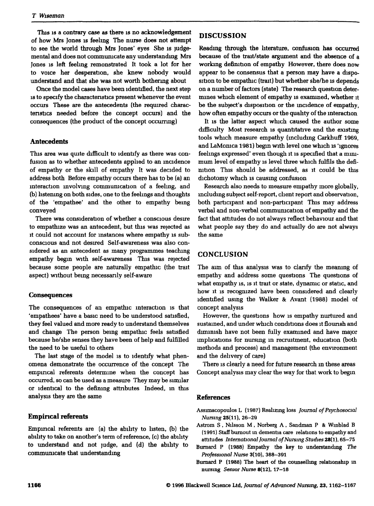This is a contrary case as there is no acknowledgement of how Mrs Jones is feeling The nurse does not attempt to see the world through Mrs Jones' eyes She is judgemental and does not communicate any understandmg Mrs Jones IS left feelmg remonstrated It took a lot for her to voice her desperation, she knew nobody would understand and that she was not worth bothermg about

Once the model cases have been identified, the next step IS to specify the charactenstics present whenever the event occurs These are the antecedents (the required charactenstics needed before the concept occurs) and the consequences (the product of the concept occumng)

#### **Antecedents**

This area was quite difficult to identify as there was confusion as to whether antecedents apphed to an mcidence of empathy or the skill of empathy It was decided to address both Before empathy occurs there has to be (a) an interaction mvolvmg communication of a feeling, and (b) hstemng on both sides, one to the feelings and thoughts of the 'empathee' and the other to empathy being conveyed

There was consideration of whether a conscious desire to empathize was an antecedent, but this was rejected as It could not account for mstances where empathy is subconscious and not desired Self-awareness was also considered as an antecedent as many programmes teachmg empathy begin with self-awareness This was rejected because some people are naturally empathic (the trait aspect) without bemg necessanly self-aware

#### **Consequences**

The consequences of an empathic interaction is that 'empathees' have a hasic need to be understood satisfied, they feel valued and more ready to understand themselves and change The person bemg empathic feels satisfied because he/she senses they have been of help and fulfilled the need to be useful to others

The last stage of the model is to identify what phenomena demonstrate the occurrence of the concept The empmcal referents determine when the concept has occurred, so can be used as a measure They may be similar or identical to the defining attnhutes Indeed, m this analysis they are the same

#### **Empincal referents**

Empincal referents are (a) the abilify to listen, (b) the ability to take on another's term of reference, (c) the ability to understand and not judge, and (d) the ability to communicate that understanding

#### **DISCUSSION**

Reading through the hterature, confusion has occurred because of the trait/state argument and the absence of a working definition of empathy However, there does now appear to be consensus that a person may have a disposition to be empathic (trait) but whether she/he is depends on a number of factors (state) The research question determines which element of empathy is examined, whether it be the subject's disposition or the mcidence of empathy, how often empathy occurs or the quality of the interaction

It is the latter aspect which caused the author some difficulty Most research is quantitative and the existing tools which measure empathy (including Carkhuff 1969, and LaMonica 1981) begin with level one which is 'ignores feehngs expressed' even though it is specified that a mmimum level of empathy is level three which fulfils the definition This should be addressed, as it could be this dichotomy which is causing confusion

Research also needs to measure empathy more globally, mcluding subject self-report, client report and observation, both participant and non-participant This may address verbal and non-verbal communication of empathy and the feet that attitudes do not always reflect behaviour and that what people say they do and actually do are not always the same

#### **CONCLUSION**

The aim of this analysis was to clarify the meaning of empathy and address some questions The questions of what empathy is, is it trait or state, dynamic or static, and how it IS recognized have been considered and clearly identified usmg the Walker & Avant (1988) model of concept analysis

However, the questions how is empathy nurtured and sustained, and under which conditions does it fiounsh and diminish have not been fully examined and have major implications for nursmg m recruitment, education (both methods and process) and management (the environment and the delivery of care)

There is clearly a need for future research in these areas Concept analysis may clear the way for that work to begm

#### **References**

- Assimacopovdos L (1987) Realizing loss *Joumal of Psychosocial* Nursing 25(11), 26-29
- Astrom S , Nilsson M, Norberg A , Sandman P & Wmblad B (1991) Staff burnout m dementia care relations to empathy and attitudes *International Joumalof Nursmg Studies 28[1),* 65-75
- Bumard P (1988) Empathy the key to understanding *The Professional Nurse* 3(10), 388-391
- Bumard P (1988) The heart of the counsellmg relationship in nursmg *Senior Nurse* 8(12), 17-18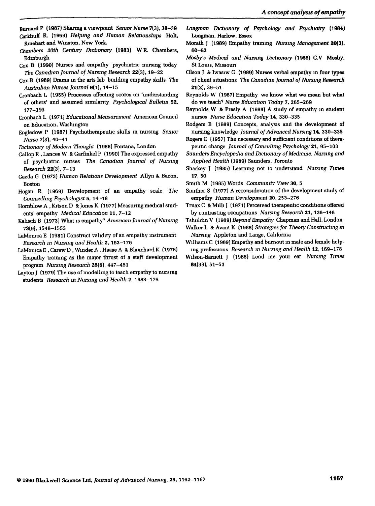- Bumard P (1987) Sharmg a viewpomt *Senior Nurse* 7(3), 38-39 Carkhuff R. (1969) *Helping and Human Relationships* **Holt,** Rmehart and Winston, New York.
- *Chambers 20th Century Dictionary* **(1983) WR. Chambers,** Edinburgh
- Cox B (1990) Nurses and empathy psychiatric nursing today The *Canadian Journal of Nursing Research* **22(3),** 19—22
- Cox B (1989) Drama m the arts lab buildmg empathy skills The *Australian Nurses Journal* 9(1), 14-15
- Cronbach L (1955) Processes affecting scores on 'understanding of others' and assumed similanty *Psychological Bulletin* 52, 177-193
- Cronbach L (1971) *Educational Measurement* Amencan Council on Education, Washington
- Engledow P (1987) Psychotherapeubc skills in nursing *Senior Nurse* 7(3), 40-41
- *Dictionary of Modem Thought* (1988) Fontana, London
- Gallop R , Lancee W & Garfinkel P (1990) The expressed empathy of psychiatric nurses *The Canadian Joumal of Nursmg Research* **22(3),** 7-13
- Gazda G (1973) *Human Relations Development* Allyn & Bacon, Boston
- Hogan R (1969) Development of an empathy scale *The Counselling Psychologist 5,* 14-18
- Homblow A , Kitson D & Jones K (1977) Measurmg medical students' empathy *Medical Education* 11, 7-12
- Kalisch B (1973) What is empathy'' *Amencan Joumal of Nursing* 73(9), 1548-1553
- LaMonica E (1981) Construct validity of an empathy instrument *Research m Nursing and Health 2,* 163-176
- LaMomca E , Garew D , Winder A , Haase A & Blanchard K (1976) Empathy training as the major thrust of a staff development program *Nursing Research* 25(6), 447-451
- Layton J (1979) The use of modelling to teach empathy to nursing students *Research m Nursing and Health 2,* 1683-176
- *Longman Dictionary of Psychology and Psychiatry* **(1984)** Longman, Harlow, Essex
- Morath J (1989) Empathy training *Nursmg Management* **20(3),** 60-63
- *Mosby's Medical and Nursing Dictionary* **(1986)** CV **Mosby,** St Loms, Missoun
- Olson J & Iwasiw G (1989) Nurses verbal empathy m four types of client situations *The Canadian Joumal of Nursing Research* **21(2),** 39-51
- Reynolds W (1987) Empathy we know what we mean but what do we teach' *Nurse Education Today 7,* 265-269
- Reynolds W & Presly A (1988) A study of empathy m student nurses *Nurse Education Today* 14, 330-335
- Rodgers B (1989) Concepts, analysis and the development of nursing knowledge *Journal of Advanced Nursing* 14, 330-335
- Rogers C (1957) The necessary and sufficient conditions of therapeutic change *Joumal of Consulting Psychology* 21, **95-103**
- *Saunders Encyclopedia and Dictionary of Medicine, Nursing and Applied Health* (1989) Saunders, Toronto
- Sharkey J (1985) Leammg not to understand *Nursing Times* 17, 50
- Smith M (1985) Words *Community View* 30, 5
- Smither S (1977) A reconsideration of the development study of empathy *Human Development* 20, 253-276
- Truax C & Milh J (1971) Perceived therapeutic conditions offered by contrasting occupations *Nursing Research* 21, 138-148
- Tshuldm V (1989) *Beyond Empathy* Chapman and Hall, London

Walker L & Avant K (1988) *Strategies for Theory Constructing m Nursing* Appleton and Lange, California

- Williams G (1989) Empathy and bumout m male and female helping professions *Research m Nursing and Health* 12, 169-178
- Wilson-Bamett J (1988) Lend me your ear *Nursing Times* 84(33), 51-53